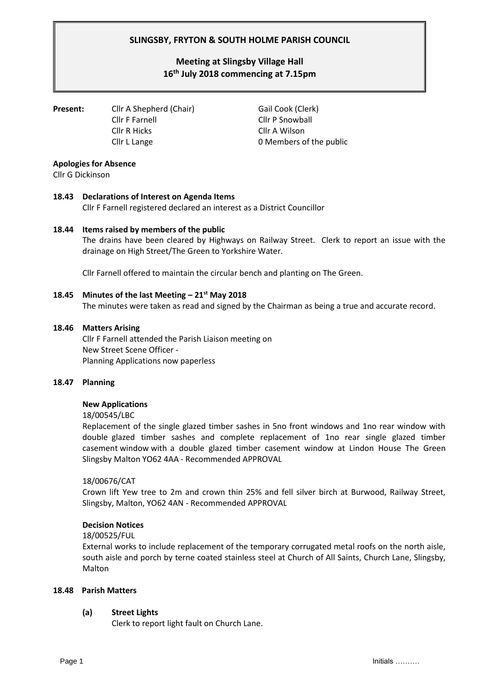# **SLINGSBY, FRYTON & SOUTH HOLME PARISH COUNCIL**

# **Meeting at Slingsby Village Hall 16th July 2018 commencing at 7.15pm**

**Present:** Cllr A Shepherd (Chair) Gail Cook (Clerk) Cllr F Farnell Cllr P Snowball Cllr R Hicks Cllr A Wilson

Cllr L Lange **0** Members of the public

# **Apologies for Absence**

Cllr G Dickinson

# **18.43 Declarations of Interest on Agenda Items**

Cllr F Farnell registered declared an interest as a District Councillor

# **18.44 Items raised by members of the public**

The drains have been cleared by Highways on Railway Street. Clerk to report an issue with the drainage on High Street/The Green to Yorkshire Water.

Cllr Farnell offered to maintain the circular bench and planting on The Green.

#### **18.45 Minutes of the last Meeting – 21 st May 2018**

The minutes were taken as read and signed by the Chairman as being a true and accurate record.

#### **18.46 Matters Arising**

Cllr F Farnell attended the Parish Liaison meeting on New Street Scene Officer - Planning Applications now paperless

# **18.47 Planning**

# **New Applications**

18/00545/LBC

Replacement of the single glazed timber sashes in 5no front windows and 1no rear window with double glazed timber sashes and complete replacement of 1no rear single glazed timber casement window with a double glazed timber casement window at Lindon House The Green Slingsby Malton YO62 4AA - Recommended APPROVAL

# 18/00676/CAT

Crown lift Yew tree to 2m and crown thin 25% and fell silver birch at Burwood, Railway Street, Slingsby, Malton, YO62 4AN - Recommended APPROVAL

# **Decision Notices**

#### 18/00525/FUL

External works to include replacement of the temporary corrugated metal roofs on the north aisle, south aisle and porch by terne coated stainless steel at Church of All Saints, Church Lane, Slingsby, Malton

#### **18.48 Parish Matters**

# **(a) Street Lights**

Clerk to report light fault on Church Lane.